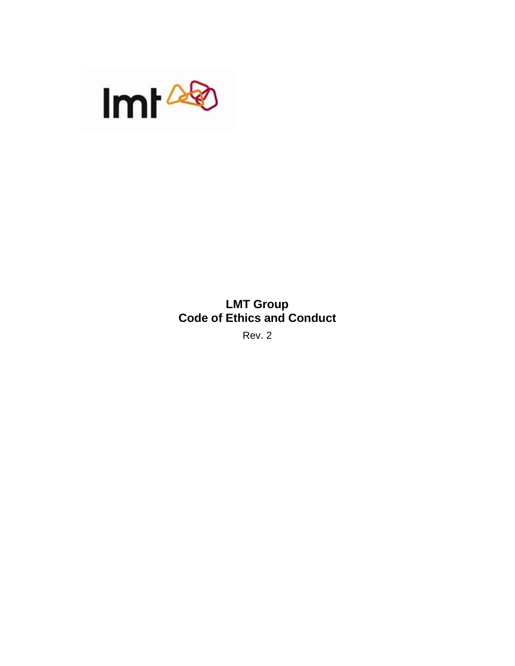

# **LMT Group Code of Ethics and Conduct**

Rev. 2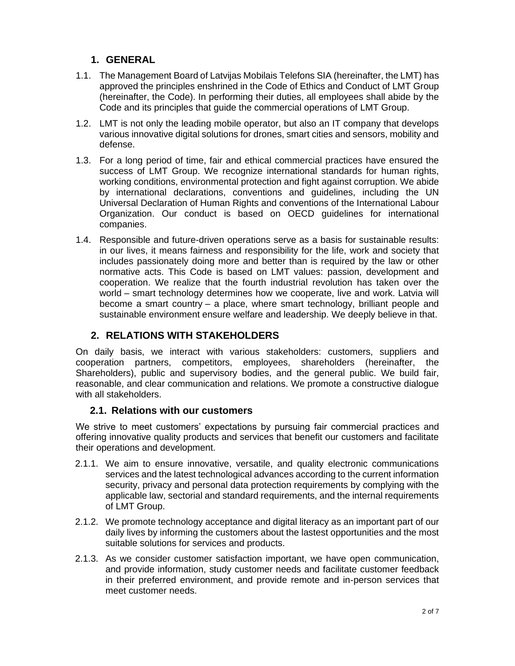## **1. GENERAL**

- 1.1. The Management Board of Latvijas Mobilais Telefons SIA (hereinafter, the LMT) has approved the principles enshrined in the Code of Ethics and Conduct of LMT Group (hereinafter, the Code). In performing their duties, all employees shall abide by the Code and its principles that guide the commercial operations of LMT Group.
- 1.2. LMT is not only the leading mobile operator, but also an IT company that develops various innovative digital solutions for drones, smart cities and sensors, mobility and defense.
- 1.3. For a long period of time, fair and ethical commercial practices have ensured the success of LMT Group. We recognize international standards for human rights, working conditions, environmental protection and fight against corruption. We abide by international declarations, conventions and guidelines, including the UN Universal Declaration of Human Rights and conventions of the International Labour Organization. Our conduct is based on OECD guidelines for international companies.
- 1.4. Responsible and future-driven operations serve as a basis for sustainable results: in our lives, it means fairness and responsibility for the life, work and society that includes passionately doing more and better than is required by the law or other normative acts. This Code is based on LMT values: passion, development and cooperation. We realize that the fourth industrial revolution has taken over the world – smart technology determines how we cooperate, live and work. Latvia will become a smart country – a place, where smart technology, brilliant people and sustainable environment ensure welfare and leadership. We deeply believe in that.

## **2. RELATIONS WITH STAKEHOLDERS**

On daily basis, we interact with various stakeholders: customers, suppliers and cooperation partners, competitors, employees, shareholders (hereinafter, the Shareholders), public and supervisory bodies, and the general public. We build fair, reasonable, and clear communication and relations. We promote a constructive dialogue with all stakeholders.

#### **2.1. Relations with our customers**

We strive to meet customers' expectations by pursuing fair commercial practices and offering innovative quality products and services that benefit our customers and facilitate their operations and development.

- 2.1.1. We aim to ensure innovative, versatile, and quality electronic communications services and the latest technological advances according to the current information security, privacy and personal data protection requirements by complying with the applicable law, sectorial and standard requirements, and the internal requirements of LMT Group.
- 2.1.2. We promote technology acceptance and digital literacy as an important part of our daily lives by informing the customers about the lastest opportunities and the most suitable solutions for services and products.
- 2.1.3. As we consider customer satisfaction important, we have open communication, and provide information, study customer needs and facilitate customer feedback in their preferred environment, and provide remote and in-person services that meet customer needs.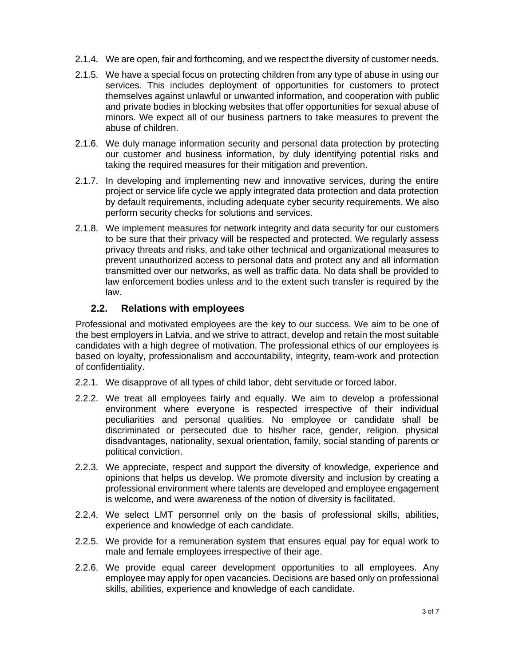- 2.1.4. We are open, fair and forthcoming, and we respect the diversity of customer needs.
- 2.1.5. We have a special focus on protecting children from any type of abuse in using our services. This includes deployment of opportunities for customers to protect themselves against unlawful or unwanted information, and cooperation with public and private bodies in blocking websites that offer opportunities for sexual abuse of minors. We expect all of our business partners to take measures to prevent the abuse of children.
- 2.1.6. We duly manage information security and personal data protection by protecting our customer and business information, by duly identifying potential risks and taking the required measures for their mitigation and prevention.
- 2.1.7. In developing and implementing new and innovative services, during the entire project or service life cycle we apply integrated data protection and data protection by default requirements, including adequate cyber security requirements. We also perform security checks for solutions and services.
- 2.1.8. We implement measures for network integrity and data security for our customers to be sure that their privacy will be respected and protected. We regularly assess privacy threats and risks, and take other technical and organizational measures to prevent unauthorized access to personal data and protect any and all information transmitted over our networks, as well as traffic data. No data shall be provided to law enforcement bodies unless and to the extent such transfer is required by the law.

## **2.2. Relations with employees**

Professional and motivated employees are the key to our success. We aim to be one of the best employers in Latvia, and we strive to attract, develop and retain the most suitable candidates with a high degree of motivation. The professional ethics of our employees is based on loyalty, professionalism and accountability, integrity, team-work and protection of confidentiality.

- 2.2.1. We disapprove of all types of child labor, debt servitude or forced labor.
- 2.2.2. We treat all employees fairly and equally. We aim to develop a professional environment where everyone is respected irrespective of their individual peculiarities and personal qualities. No employee or candidate shall be discriminated or persecuted due to his/her race, gender, religion, physical disadvantages, nationality, sexual orientation, family, social standing of parents or political conviction.
- 2.2.3. We appreciate, respect and support the diversity of knowledge, experience and opinions that helps us develop. We promote diversity and inclusion by creating a professional environment where talents are developed and employee engagement is welcome, and were awareness of the notion of diversity is facilitated.
- 2.2.4. We select LMT personnel only on the basis of professional skills, abilities, experience and knowledge of each candidate.
- 2.2.5. We provide for a remuneration system that ensures equal pay for equal work to male and female employees irrespective of their age.
- 2.2.6. We provide equal career development opportunities to all employees. Any employee may apply for open vacancies. Decisions are based only on professional skills, abilities, experience and knowledge of each candidate.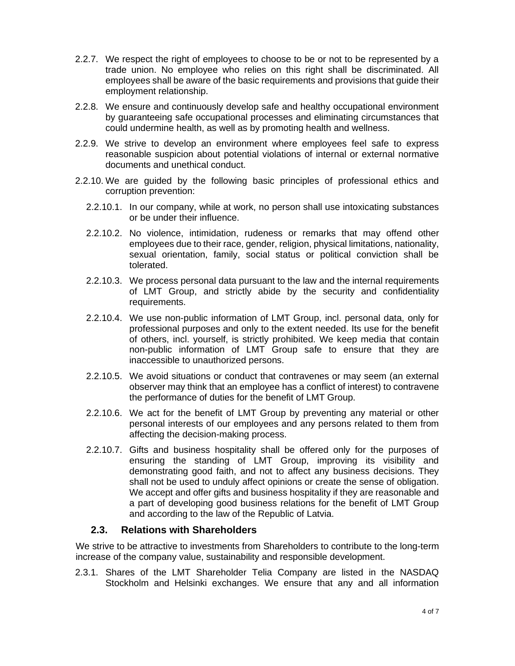- 2.2.7. We respect the right of employees to choose to be or not to be represented by a trade union. No employee who relies on this right shall be discriminated. All employees shall be aware of the basic requirements and provisions that guide their employment relationship.
- 2.2.8. We ensure and continuously develop safe and healthy occupational environment by guaranteeing safe occupational processes and eliminating circumstances that could undermine health, as well as by promoting health and wellness.
- 2.2.9. We strive to develop an environment where employees feel safe to express reasonable suspicion about potential violations of internal or external normative documents and unethical conduct.
- 2.2.10. We are guided by the following basic principles of professional ethics and corruption prevention:
	- 2.2.10.1. In our company, while at work, no person shall use intoxicating substances or be under their influence.
	- 2.2.10.2. No violence, intimidation, rudeness or remarks that may offend other employees due to their race, gender, religion, physical limitations, nationality, sexual orientation, family, social status or political conviction shall be tolerated.
	- 2.2.10.3. We process personal data pursuant to the law and the internal requirements of LMT Group, and strictly abide by the security and confidentiality requirements.
	- 2.2.10.4. We use non-public information of LMT Group, incl. personal data, only for professional purposes and only to the extent needed. Its use for the benefit of others, incl. yourself, is strictly prohibited. We keep media that contain non-public information of LMT Group safe to ensure that they are inaccessible to unauthorized persons.
	- 2.2.10.5. We avoid situations or conduct that contravenes or may seem (an external observer may think that an employee has a conflict of interest) to contravene the performance of duties for the benefit of LMT Group.
	- 2.2.10.6. We act for the benefit of LMT Group by preventing any material or other personal interests of our employees and any persons related to them from affecting the decision-making process.
	- 2.2.10.7. Gifts and business hospitality shall be offered only for the purposes of ensuring the standing of LMT Group, improving its visibility and demonstrating good faith, and not to affect any business decisions. They shall not be used to unduly affect opinions or create the sense of obligation. We accept and offer gifts and business hospitality if they are reasonable and a part of developing good business relations for the benefit of LMT Group and according to the law of the Republic of Latvia.

#### **2.3. Relations with Shareholders**

We strive to be attractive to investments from Shareholders to contribute to the long-term increase of the company value, sustainability and responsible development.

2.3.1. Shares of the LMT Shareholder Telia Company are listed in the NASDAQ Stockholm and Helsinki exchanges. We ensure that any and all information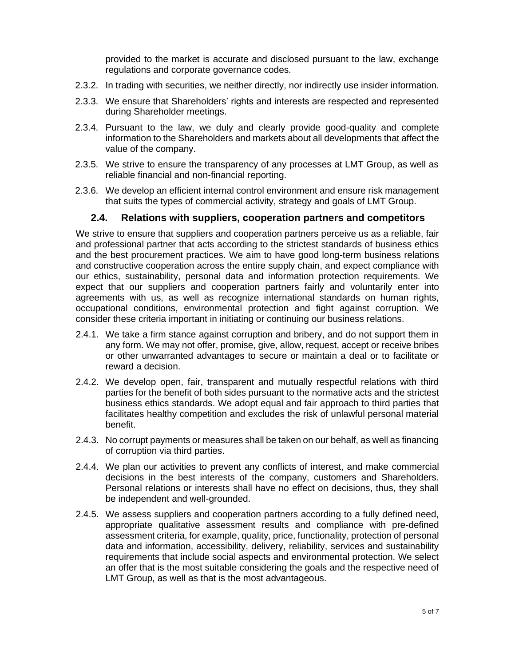provided to the market is accurate and disclosed pursuant to the law, exchange regulations and corporate governance codes.

- 2.3.2. In trading with securities, we neither directly, nor indirectly use insider information.
- 2.3.3. We ensure that Shareholders' rights and interests are respected and represented during Shareholder meetings.
- 2.3.4. Pursuant to the law, we duly and clearly provide good-quality and complete information to the Shareholders and markets about all developments that affect the value of the company.
- 2.3.5. We strive to ensure the transparency of any processes at LMT Group, as well as reliable financial and non-financial reporting.
- 2.3.6. We develop an efficient internal control environment and ensure risk management that suits the types of commercial activity, strategy and goals of LMT Group.

#### **2.4. Relations with suppliers, cooperation partners and competitors**

We strive to ensure that suppliers and cooperation partners perceive us as a reliable, fair and professional partner that acts according to the strictest standards of business ethics and the best procurement practices. We aim to have good long-term business relations and constructive cooperation across the entire supply chain, and expect compliance with our ethics, sustainability, personal data and information protection requirements. We expect that our suppliers and cooperation partners fairly and voluntarily enter into agreements with us, as well as recognize international standards on human rights, occupational conditions, environmental protection and fight against corruption. We consider these criteria important in initiating or continuing our business relations.

- 2.4.1. We take a firm stance against corruption and bribery, and do not support them in any form. We may not offer, promise, give, allow, request, accept or receive bribes or other unwarranted advantages to secure or maintain a deal or to facilitate or reward a decision.
- 2.4.2. We develop open, fair, transparent and mutually respectful relations with third parties for the benefit of both sides pursuant to the normative acts and the strictest business ethics standards. We adopt equal and fair approach to third parties that facilitates healthy competition and excludes the risk of unlawful personal material benefit.
- 2.4.3. No corrupt payments or measures shall be taken on our behalf, as well as financing of corruption via third parties.
- 2.4.4. We plan our activities to prevent any conflicts of interest, and make commercial decisions in the best interests of the company, customers and Shareholders. Personal relations or interests shall have no effect on decisions, thus, they shall be independent and well-grounded.
- 2.4.5. We assess suppliers and cooperation partners according to a fully defined need, appropriate qualitative assessment results and compliance with pre-defined assessment criteria, for example, quality, price, functionality, protection of personal data and information, accessibility, delivery, reliability, services and sustainability requirements that include social aspects and environmental protection. We select an offer that is the most suitable considering the goals and the respective need of LMT Group, as well as that is the most advantageous.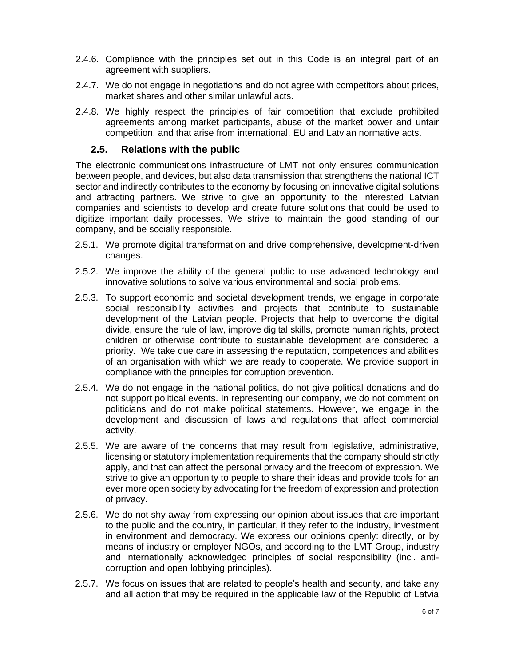- 2.4.6. Compliance with the principles set out in this Code is an integral part of an agreement with suppliers.
- 2.4.7. We do not engage in negotiations and do not agree with competitors about prices, market shares and other similar unlawful acts.
- 2.4.8. We highly respect the principles of fair competition that exclude prohibited agreements among market participants, abuse of the market power and unfair competition, and that arise from international, EU and Latvian normative acts.

#### **2.5. Relations with the public**

The electronic communications infrastructure of LMT not only ensures communication between people, and devices, but also data transmission that strengthens the national ICT sector and indirectly contributes to the economy by focusing on innovative digital solutions and attracting partners. We strive to give an opportunity to the interested Latvian companies and scientists to develop and create future solutions that could be used to digitize important daily processes. We strive to maintain the good standing of our company, and be socially responsible.

- 2.5.1. We promote digital transformation and drive comprehensive, development-driven changes.
- 2.5.2. We improve the ability of the general public to use advanced technology and innovative solutions to solve various environmental and social problems.
- 2.5.3. To support economic and societal development trends, we engage in corporate social responsibility activities and projects that contribute to sustainable development of the Latvian people. Projects that help to overcome the digital divide, ensure the rule of law, improve digital skills, promote human rights, protect children or otherwise contribute to sustainable development are considered a priority. We take due care in assessing the reputation, competences and abilities of an organisation with which we are ready to cooperate. We provide support in compliance with the principles for corruption prevention.
- 2.5.4. We do not engage in the national politics, do not give political donations and do not support political events. In representing our company, we do not comment on politicians and do not make political statements. However, we engage in the development and discussion of laws and regulations that affect commercial activity.
- 2.5.5. We are aware of the concerns that may result from legislative, administrative, licensing or statutory implementation requirements that the company should strictly apply, and that can affect the personal privacy and the freedom of expression. We strive to give an opportunity to people to share their ideas and provide tools for an ever more open society by advocating for the freedom of expression and protection of privacy.
- 2.5.6. We do not shy away from expressing our opinion about issues that are important to the public and the country, in particular, if they refer to the industry, investment in environment and democracy. We express our opinions openly: directly, or by means of industry or employer NGOs, and according to the LMT Group, industry and internationally acknowledged principles of social responsibility (incl. anticorruption and open lobbying principles).
- 2.5.7. We focus on issues that are related to people's health and security, and take any and all action that may be required in the applicable law of the Republic of Latvia